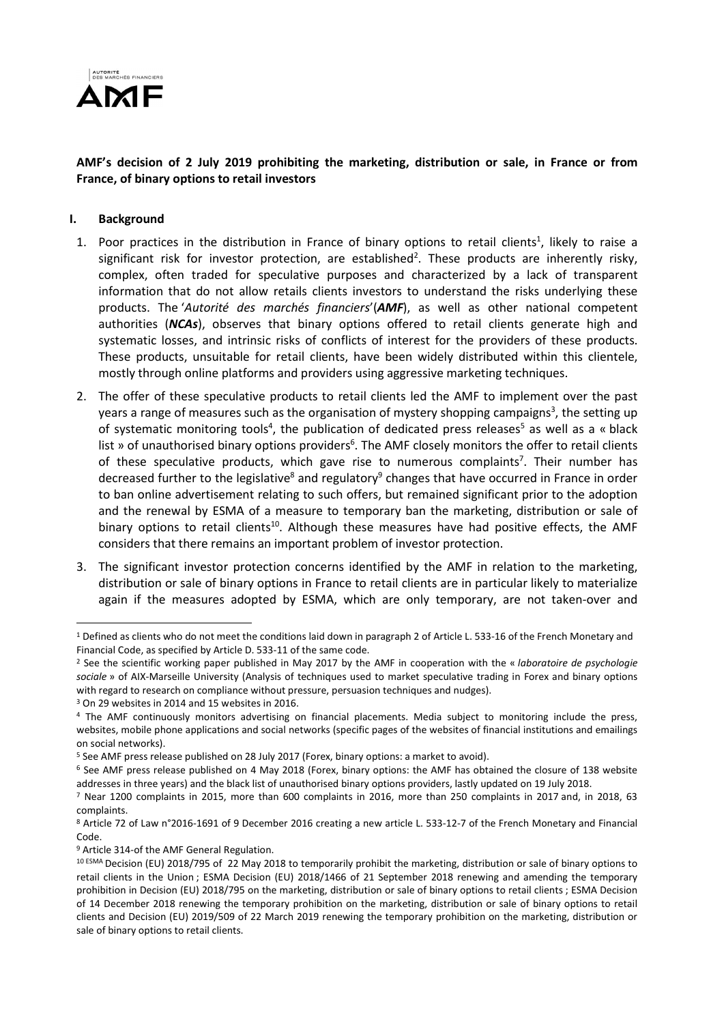

## AMF's decision of 2 July 2019 prohibiting the marketing, distribution or sale, in France or from France, of binary options to retail investors

#### I. Background

- 1. Poor practices in the distribution in France of binary options to retail clients<sup>1</sup>, likely to raise a significant risk for investor protection, are established<sup>2</sup>. These products are inherently risky, complex, often traded for speculative purposes and characterized by a lack of transparent information that do not allow retails clients investors to understand the risks underlying these products. The 'Autorité des marchés financiers' (AMF), as well as other national competent authorities (NCAs), observes that binary options offered to retail clients generate high and systematic losses, and intrinsic risks of conflicts of interest for the providers of these products. These products, unsuitable for retail clients, have been widely distributed within this clientele, mostly through online platforms and providers using aggressive marketing techniques.
- 2. The offer of these speculative products to retail clients led the AMF to implement over the past years a range of measures such as the organisation of mystery shopping campaigns<sup>3</sup>, the setting up of systematic monitoring tools<sup>4</sup>, the publication of dedicated press releases<sup>5</sup> as well as a « black list » of unauthorised binary options providers<sup>6</sup>. The AMF closely monitors the offer to retail clients of these speculative products, which gave rise to numerous complaints<sup>7</sup>. Their number has decreased further to the legislative<sup>8</sup> and regulatory<sup>9</sup> changes that have occurred in France in order to ban online advertisement relating to such offers, but remained significant prior to the adoption and the renewal by ESMA of a measure to temporary ban the marketing, distribution or sale of binary options to retail clients<sup>10</sup>. Although these measures have had positive effects, the AMF considers that there remains an important problem of investor protection.
- 3. The significant investor protection concerns identified by the AMF in relation to the marketing, distribution or sale of binary options in France to retail clients are in particular likely to materialize again if the measures adopted by ESMA, which are only temporary, are not taken-over and

<sup>&</sup>lt;sup>1</sup> Defined as clients who do not meet the conditions laid down in paragraph 2 of Article L. 533-16 of the French Monetary and Financial Code, as specified by Article D. 533-11 of the same code.

<sup>&</sup>lt;sup>2</sup> See the scientific working paper published in May 2017 by the AMF in cooperation with the « laboratoire de psychologie sociale » of AIX-Marseille University (Analysis of techniques used to market speculative trading in Forex and binary options with regard to research on compliance without pressure, persuasion techniques and nudges).

<sup>3</sup> On 29 websites in 2014 and 15 websites in 2016.

<sup>4</sup> The AMF continuously monitors advertising on financial placements. Media subject to monitoring include the press, websites, mobile phone applications and social networks (specific pages of the websites of financial institutions and emailings on social networks).

<sup>&</sup>lt;sup>5</sup> See AMF press release published on 28 July 2017 (Forex, binary options: a market to avoid).

<sup>6</sup> See AMF press release published on 4 May 2018 (Forex, binary options: the AMF has obtained the closure of 138 website addresses in three years) and the black list of unauthorised binary options providers, lastly updated on 19 July 2018.

<sup>7</sup> Near 1200 complaints in 2015, more than 600 complaints in 2016, more than 250 complaints in 2017 and, in 2018, 63 complaints.

<sup>8</sup> Article 72 of Law n°2016-1691 of 9 December 2016 creating a new article L. 533-12-7 of the French Monetary and Financial Code.

<sup>&</sup>lt;sup>9</sup> Article 314-of the AMF General Regulation.

<sup>10</sup> ESMA Decision (EU) 2018/795 of 22 May 2018 to temporarily prohibit the marketing, distribution or sale of binary options to retail clients in the Union ; ESMA Decision (EU) 2018/1466 of 21 September 2018 renewing and amending the temporary prohibition in Decision (EU) 2018/795 on the marketing, distribution or sale of binary options to retail clients ; ESMA Decision of 14 December 2018 renewing the temporary prohibition on the marketing, distribution or sale of binary options to retail clients and Decision (EU) 2019/509 of 22 March 2019 renewing the temporary prohibition on the marketing, distribution or sale of binary options to retail clients.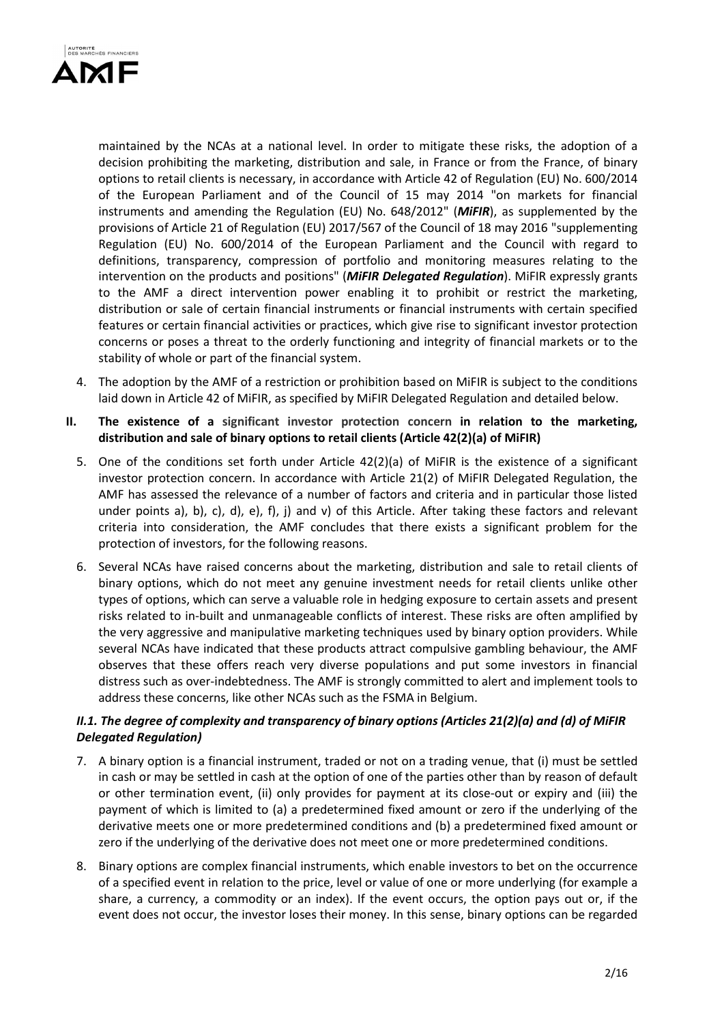

maintained by the NCAs at a national level. In order to mitigate these risks, the adoption of a decision prohibiting the marketing, distribution and sale, in France or from the France, of binary options to retail clients is necessary, in accordance with Article 42 of Regulation (EU) No. 600/2014 of the European Parliament and of the Council of 15 may 2014 "on markets for financial instruments and amending the Regulation (EU) No.  $648/2012$ " (*MiFIR*), as supplemented by the provisions of Article 21 of Regulation (EU) 2017/567 of the Council of 18 may 2016 "supplementing Regulation (EU) No. 600/2014 of the European Parliament and the Council with regard to definitions, transparency, compression of portfolio and monitoring measures relating to the intervention on the products and positions" (MiFIR Delegated Regulation). MiFIR expressly grants to the AMF a direct intervention power enabling it to prohibit or restrict the marketing, distribution or sale of certain financial instruments or financial instruments with certain specified features or certain financial activities or practices, which give rise to significant investor protection concerns or poses a threat to the orderly functioning and integrity of financial markets or to the stability of whole or part of the financial system.

- 4. The adoption by the AMF of a restriction or prohibition based on MiFIR is subject to the conditions laid down in Article 42 of MiFIR, as specified by MiFIR Delegated Regulation and detailed below.
- II. The existence of a significant investor protection concern in relation to the marketing, distribution and sale of binary options to retail clients (Article 42(2)(a) of MiFIR)
	- 5. One of the conditions set forth under Article 42(2)(a) of MiFIR is the existence of a significant investor protection concern. In accordance with Article 21(2) of MiFIR Delegated Regulation, the AMF has assessed the relevance of a number of factors and criteria and in particular those listed under points a), b), c), d), e), f), j) and v) of this Article. After taking these factors and relevant criteria into consideration, the AMF concludes that there exists a significant problem for the protection of investors, for the following reasons.
	- 6. Several NCAs have raised concerns about the marketing, distribution and sale to retail clients of binary options, which do not meet any genuine investment needs for retail clients unlike other types of options, which can serve a valuable role in hedging exposure to certain assets and present risks related to in-built and unmanageable conflicts of interest. These risks are often amplified by the very aggressive and manipulative marketing techniques used by binary option providers. While several NCAs have indicated that these products attract compulsive gambling behaviour, the AMF observes that these offers reach very diverse populations and put some investors in financial distress such as over-indebtedness. The AMF is strongly committed to alert and implement tools to address these concerns, like other NCAs such as the FSMA in Belgium.

# II.1. The degree of complexity and transparency of binary options (Articles 21(2)(a) and (d) of MiFIR Delegated Regulation)

- 7. A binary option is a financial instrument, traded or not on a trading venue, that (i) must be settled in cash or may be settled in cash at the option of one of the parties other than by reason of default or other termination event, (ii) only provides for payment at its close-out or expiry and (iii) the payment of which is limited to (a) a predetermined fixed amount or zero if the underlying of the derivative meets one or more predetermined conditions and (b) a predetermined fixed amount or zero if the underlying of the derivative does not meet one or more predetermined conditions.
- 8. Binary options are complex financial instruments, which enable investors to bet on the occurrence of a specified event in relation to the price, level or value of one or more underlying (for example a share, a currency, a commodity or an index). If the event occurs, the option pays out or, if the event does not occur, the investor loses their money. In this sense, binary options can be regarded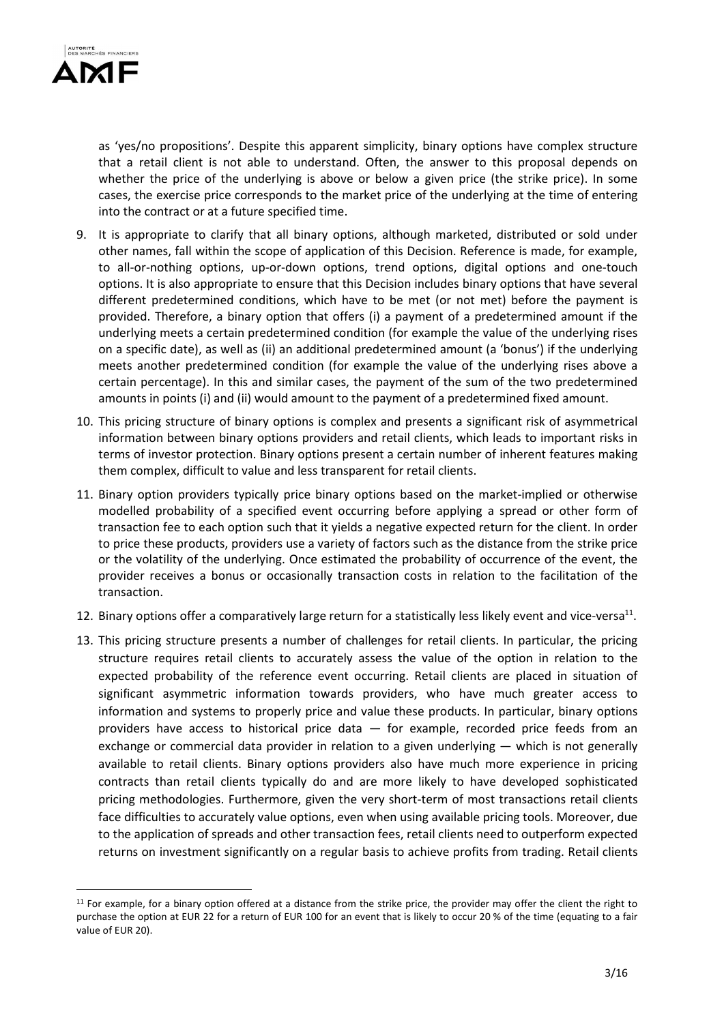

as 'yes/no propositions'. Despite this apparent simplicity, binary options have complex structure that a retail client is not able to understand. Often, the answer to this proposal depends on whether the price of the underlying is above or below a given price (the strike price). In some cases, the exercise price corresponds to the market price of the underlying at the time of entering into the contract or at a future specified time.

- 9. It is appropriate to clarify that all binary options, although marketed, distributed or sold under other names, fall within the scope of application of this Decision. Reference is made, for example, to all-or-nothing options, up-or-down options, trend options, digital options and one-touch options. It is also appropriate to ensure that this Decision includes binary options that have several different predetermined conditions, which have to be met (or not met) before the payment is provided. Therefore, a binary option that offers (i) a payment of a predetermined amount if the underlying meets a certain predetermined condition (for example the value of the underlying rises on a specific date), as well as (ii) an additional predetermined amount (a 'bonus') if the underlying meets another predetermined condition (for example the value of the underlying rises above a certain percentage). In this and similar cases, the payment of the sum of the two predetermined amounts in points (i) and (ii) would amount to the payment of a predetermined fixed amount.
- 10. This pricing structure of binary options is complex and presents a significant risk of asymmetrical information between binary options providers and retail clients, which leads to important risks in terms of investor protection. Binary options present a certain number of inherent features making them complex, difficult to value and less transparent for retail clients.
- 11. Binary option providers typically price binary options based on the market-implied or otherwise modelled probability of a specified event occurring before applying a spread or other form of transaction fee to each option such that it yields a negative expected return for the client. In order to price these products, providers use a variety of factors such as the distance from the strike price or the volatility of the underlying. Once estimated the probability of occurrence of the event, the provider receives a bonus or occasionally transaction costs in relation to the facilitation of the transaction.
- 12. Binary options offer a comparatively large return for a statistically less likely event and vice-versa<sup>11</sup>.
- 13. This pricing structure presents a number of challenges for retail clients. In particular, the pricing structure requires retail clients to accurately assess the value of the option in relation to the expected probability of the reference event occurring. Retail clients are placed in situation of significant asymmetric information towards providers, who have much greater access to information and systems to properly price and value these products. In particular, binary options providers have access to historical price data — for example, recorded price feeds from an exchange or commercial data provider in relation to a given underlying — which is not generally available to retail clients. Binary options providers also have much more experience in pricing contracts than retail clients typically do and are more likely to have developed sophisticated pricing methodologies. Furthermore, given the very short-term of most transactions retail clients face difficulties to accurately value options, even when using available pricing tools. Moreover, due to the application of spreads and other transaction fees, retail clients need to outperform expected returns on investment significantly on a regular basis to achieve profits from trading. Retail clients

 $11$  For example, for a binary option offered at a distance from the strike price, the provider may offer the client the right to purchase the option at EUR 22 for a return of EUR 100 for an event that is likely to occur 20 % of the time (equating to a fair value of EUR 20).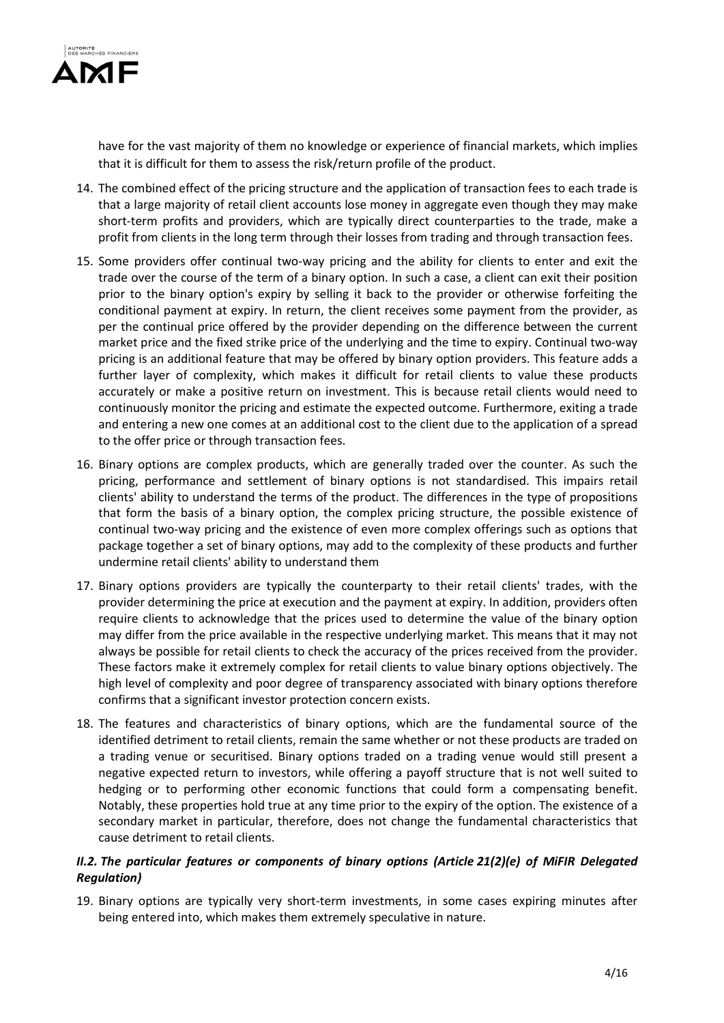

have for the vast majority of them no knowledge or experience of financial markets, which implies that it is difficult for them to assess the risk/return profile of the product.

- 14. The combined effect of the pricing structure and the application of transaction fees to each trade is that a large majority of retail client accounts lose money in aggregate even though they may make short-term profits and providers, which are typically direct counterparties to the trade, make a profit from clients in the long term through their losses from trading and through transaction fees.
- 15. Some providers offer continual two-way pricing and the ability for clients to enter and exit the trade over the course of the term of a binary option. In such a case, a client can exit their position prior to the binary option's expiry by selling it back to the provider or otherwise forfeiting the conditional payment at expiry. In return, the client receives some payment from the provider, as per the continual price offered by the provider depending on the difference between the current market price and the fixed strike price of the underlying and the time to expiry. Continual two-way pricing is an additional feature that may be offered by binary option providers. This feature adds a further layer of complexity, which makes it difficult for retail clients to value these products accurately or make a positive return on investment. This is because retail clients would need to continuously monitor the pricing and estimate the expected outcome. Furthermore, exiting a trade and entering a new one comes at an additional cost to the client due to the application of a spread to the offer price or through transaction fees.
- 16. Binary options are complex products, which are generally traded over the counter. As such the pricing, performance and settlement of binary options is not standardised. This impairs retail clients' ability to understand the terms of the product. The differences in the type of propositions that form the basis of a binary option, the complex pricing structure, the possible existence of continual two-way pricing and the existence of even more complex offerings such as options that package together a set of binary options, may add to the complexity of these products and further undermine retail clients' ability to understand them
- 17. Binary options providers are typically the counterparty to their retail clients' trades, with the provider determining the price at execution and the payment at expiry. In addition, providers often require clients to acknowledge that the prices used to determine the value of the binary option may differ from the price available in the respective underlying market. This means that it may not always be possible for retail clients to check the accuracy of the prices received from the provider. These factors make it extremely complex for retail clients to value binary options objectively. The high level of complexity and poor degree of transparency associated with binary options therefore confirms that a significant investor protection concern exists.
- 18. The features and characteristics of binary options, which are the fundamental source of the identified detriment to retail clients, remain the same whether or not these products are traded on a trading venue or securitised. Binary options traded on a trading venue would still present a negative expected return to investors, while offering a payoff structure that is not well suited to hedging or to performing other economic functions that could form a compensating benefit. Notably, these properties hold true at any time prior to the expiry of the option. The existence of a secondary market in particular, therefore, does not change the fundamental characteristics that cause detriment to retail clients.

# II.2. The particular features or components of binary options (Article 21(2)(e) of MiFIR Delegated Regulation)

19. Binary options are typically very short-term investments, in some cases expiring minutes after being entered into, which makes them extremely speculative in nature.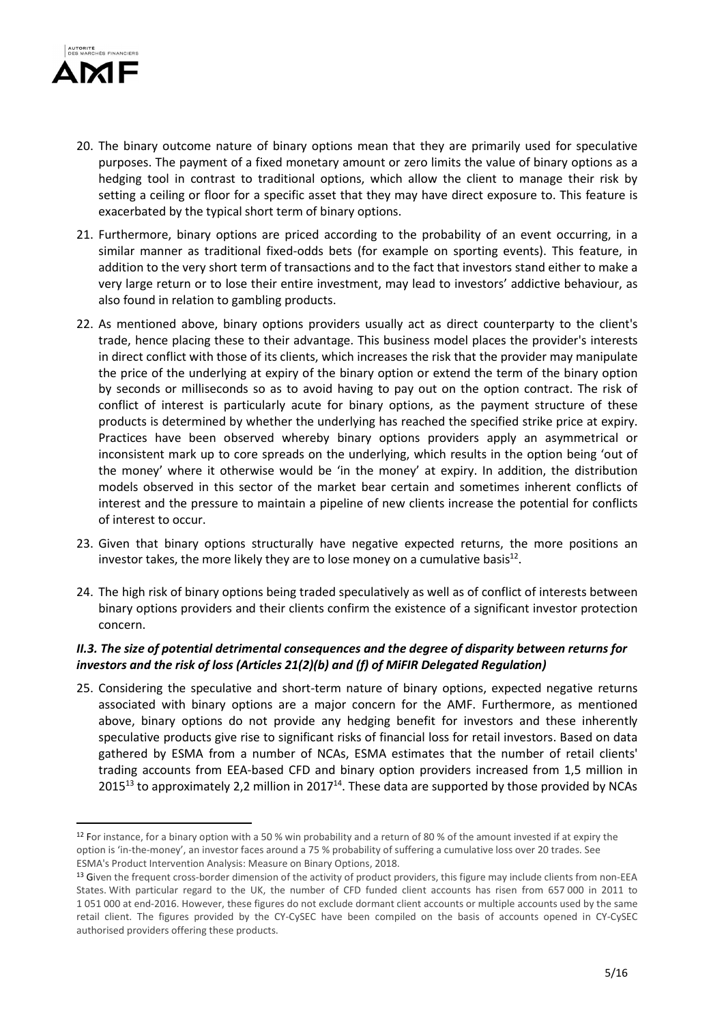

- 20. The binary outcome nature of binary options mean that they are primarily used for speculative purposes. The payment of a fixed monetary amount or zero limits the value of binary options as a hedging tool in contrast to traditional options, which allow the client to manage their risk by setting a ceiling or floor for a specific asset that they may have direct exposure to. This feature is exacerbated by the typical short term of binary options.
- 21. Furthermore, binary options are priced according to the probability of an event occurring, in a similar manner as traditional fixed-odds bets (for example on sporting events). This feature, in addition to the very short term of transactions and to the fact that investors stand either to make a very large return or to lose their entire investment, may lead to investors' addictive behaviour, as also found in relation to gambling products.
- 22. As mentioned above, binary options providers usually act as direct counterparty to the client's trade, hence placing these to their advantage. This business model places the provider's interests in direct conflict with those of its clients, which increases the risk that the provider may manipulate the price of the underlying at expiry of the binary option or extend the term of the binary option by seconds or milliseconds so as to avoid having to pay out on the option contract. The risk of conflict of interest is particularly acute for binary options, as the payment structure of these products is determined by whether the underlying has reached the specified strike price at expiry. Practices have been observed whereby binary options providers apply an asymmetrical or inconsistent mark up to core spreads on the underlying, which results in the option being 'out of the money' where it otherwise would be 'in the money' at expiry. In addition, the distribution models observed in this sector of the market bear certain and sometimes inherent conflicts of interest and the pressure to maintain a pipeline of new clients increase the potential for conflicts of interest to occur.
- 23. Given that binary options structurally have negative expected returns, the more positions an investor takes, the more likely they are to lose money on a cumulative basis $^{12}$ .
- 24. The high risk of binary options being traded speculatively as well as of conflict of interests between binary options providers and their clients confirm the existence of a significant investor protection concern.

# II.3. The size of potential detrimental consequences and the degree of disparity between returns for investors and the risk of loss (Articles 21(2)(b) and (f) of MiFIR Delegated Regulation)

25. Considering the speculative and short-term nature of binary options, expected negative returns associated with binary options are a major concern for the AMF. Furthermore, as mentioned above, binary options do not provide any hedging benefit for investors and these inherently speculative products give rise to significant risks of financial loss for retail investors. Based on data gathered by ESMA from a number of NCAs, ESMA estimates that the number of retail clients' trading accounts from EEA-based CFD and binary option providers increased from 1,5 million in 2015<sup>13</sup> to approximately 2,2 million in 2017<sup>14</sup>. These data are supported by those provided by NCAs

<sup>12</sup> For instance, for a binary option with a 50 % win probability and a return of 80 % of the amount invested if at expiry the option is 'in-the-money', an investor faces around a 75 % probability of suffering a cumulative loss over 20 trades. See ESMA's Product Intervention Analysis: Measure on Binary Options, 2018.

<sup>13</sup> Given the frequent cross-border dimension of the activity of product providers, this figure may include clients from non-EEA States. With particular regard to the UK, the number of CFD funded client accounts has risen from 657 000 in 2011 to 1 051 000 at end-2016. However, these figures do not exclude dormant client accounts or multiple accounts used by the same retail client. The figures provided by the CY-CySEC have been compiled on the basis of accounts opened in CY-CySEC authorised providers offering these products.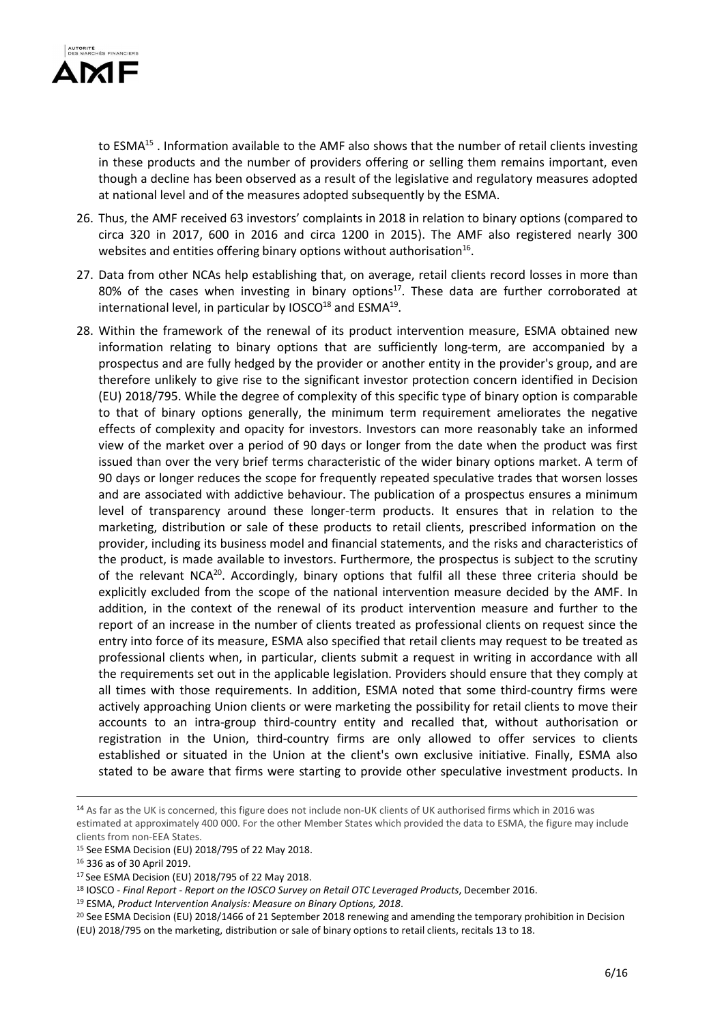

to ESMA<sup>15</sup>. Information available to the AMF also shows that the number of retail clients investing in these products and the number of providers offering or selling them remains important, even though a decline has been observed as a result of the legislative and regulatory measures adopted at national level and of the measures adopted subsequently by the ESMA.

- 26. Thus, the AMF received 63 investors' complaints in 2018 in relation to binary options (compared to circa 320 in 2017, 600 in 2016 and circa 1200 in 2015). The AMF also registered nearly 300 websites and entities offering binary options without authorisation<sup>16</sup>.
- 27. Data from other NCAs help establishing that, on average, retail clients record losses in more than 80% of the cases when investing in binary options<sup>17</sup>. These data are further corroborated at international level, in particular by IOSCO $^{18}$  and ESMA $^{19}$ .
- 28. Within the framework of the renewal of its product intervention measure, ESMA obtained new information relating to binary options that are sufficiently long-term, are accompanied by a prospectus and are fully hedged by the provider or another entity in the provider's group, and are therefore unlikely to give rise to the significant investor protection concern identified in Decision (EU) 2018/795. While the degree of complexity of this specific type of binary option is comparable to that of binary options generally, the minimum term requirement ameliorates the negative effects of complexity and opacity for investors. Investors can more reasonably take an informed view of the market over a period of 90 days or longer from the date when the product was first issued than over the very brief terms characteristic of the wider binary options market. A term of 90 days or longer reduces the scope for frequently repeated speculative trades that worsen losses and are associated with addictive behaviour. The publication of a prospectus ensures a minimum level of transparency around these longer-term products. It ensures that in relation to the marketing, distribution or sale of these products to retail clients, prescribed information on the provider, including its business model and financial statements, and the risks and characteristics of the product, is made available to investors. Furthermore, the prospectus is subject to the scrutiny of the relevant NCA $^{20}$ . Accordingly, binary options that fulfil all these three criteria should be explicitly excluded from the scope of the national intervention measure decided by the AMF. In addition, in the context of the renewal of its product intervention measure and further to the report of an increase in the number of clients treated as professional clients on request since the entry into force of its measure, ESMA also specified that retail clients may request to be treated as professional clients when, in particular, clients submit a request in writing in accordance with all the requirements set out in the applicable legislation. Providers should ensure that they comply at all times with those requirements. In addition, ESMA noted that some third-country firms were actively approaching Union clients or were marketing the possibility for retail clients to move their accounts to an intra-group third-country entity and recalled that, without authorisation or registration in the Union, third-country firms are only allowed to offer services to clients established or situated in the Union at the client's own exclusive initiative. Finally, ESMA also stated to be aware that firms were starting to provide other speculative investment products. In

```
18 IOSCO - Final Report - Report on the IOSCO Survey on Retail OTC Leveraged Products, December 2016.
```
<sup>14</sup> As far as the UK is concerned, this figure does not include non-UK clients of UK authorised firms which in 2016 was estimated at approximately 400 000. For the other Member States which provided the data to ESMA, the figure may include clients from non-EEA States.

<sup>15</sup> See ESMA Decision (EU) 2018/795 of 22 May 2018.

<sup>16</sup> 336 as of 30 April 2019.

<sup>17</sup>See ESMA Decision (EU) 2018/795 of 22 May 2018.

<sup>19</sup> ESMA, Product Intervention Analysis: Measure on Binary Options, 2018.

<sup>&</sup>lt;sup>20</sup> See ESMA Decision (EU) 2018/1466 of 21 September 2018 renewing and amending the temporary prohibition in Decision (EU) 2018/795 on the marketing, distribution or sale of binary options to retail clients, recitals 13 to 18.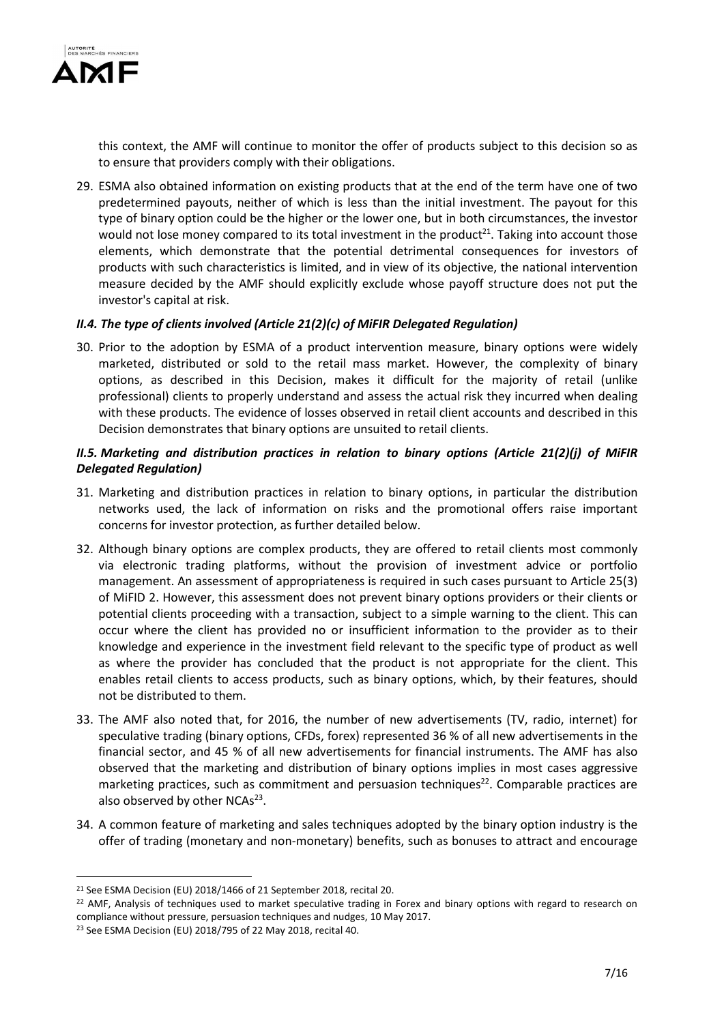

this context, the AMF will continue to monitor the offer of products subject to this decision so as to ensure that providers comply with their obligations.

29. ESMA also obtained information on existing products that at the end of the term have one of two predetermined payouts, neither of which is less than the initial investment. The payout for this type of binary option could be the higher or the lower one, but in both circumstances, the investor would not lose money compared to its total investment in the product<sup>21</sup>. Taking into account those elements, which demonstrate that the potential detrimental consequences for investors of products with such characteristics is limited, and in view of its objective, the national intervention measure decided by the AMF should explicitly exclude whose payoff structure does not put the investor's capital at risk.

### II.4. The type of clients involved (Article 21(2)(c) of MiFIR Delegated Regulation)

30. Prior to the adoption by ESMA of a product intervention measure, binary options were widely marketed, distributed or sold to the retail mass market. However, the complexity of binary options, as described in this Decision, makes it difficult for the majority of retail (unlike professional) clients to properly understand and assess the actual risk they incurred when dealing with these products. The evidence of losses observed in retail client accounts and described in this Decision demonstrates that binary options are unsuited to retail clients.

## II.5. Marketing and distribution practices in relation to binary options (Article 21(2)(j) of MiFIR Delegated Regulation)

- 31. Marketing and distribution practices in relation to binary options, in particular the distribution networks used, the lack of information on risks and the promotional offers raise important concerns for investor protection, as further detailed below.
- 32. Although binary options are complex products, they are offered to retail clients most commonly via electronic trading platforms, without the provision of investment advice or portfolio management. An assessment of appropriateness is required in such cases pursuant to Article 25(3) of MiFID 2. However, this assessment does not prevent binary options providers or their clients or potential clients proceeding with a transaction, subject to a simple warning to the client. This can occur where the client has provided no or insufficient information to the provider as to their knowledge and experience in the investment field relevant to the specific type of product as well as where the provider has concluded that the product is not appropriate for the client. This enables retail clients to access products, such as binary options, which, by their features, should not be distributed to them.
- 33. The AMF also noted that, for 2016, the number of new advertisements (TV, radio, internet) for speculative trading (binary options, CFDs, forex) represented 36 % of all new advertisements in the financial sector, and 45 % of all new advertisements for financial instruments. The AMF has also observed that the marketing and distribution of binary options implies in most cases aggressive marketing practices, such as commitment and persuasion techniques<sup>22</sup>. Comparable practices are also observed by other NCAs<sup>23</sup>.
- 34. A common feature of marketing and sales techniques adopted by the binary option industry is the offer of trading (monetary and non-monetary) benefits, such as bonuses to attract and encourage

<sup>21</sup> See ESMA Decision (EU) 2018/1466 of 21 September 2018, recital 20.

<sup>&</sup>lt;sup>22</sup> AMF, Analysis of techniques used to market speculative trading in Forex and binary options with regard to research on compliance without pressure, persuasion techniques and nudges, 10 May 2017.

<sup>23</sup> See ESMA Decision (EU) 2018/795 of 22 May 2018, recital 40.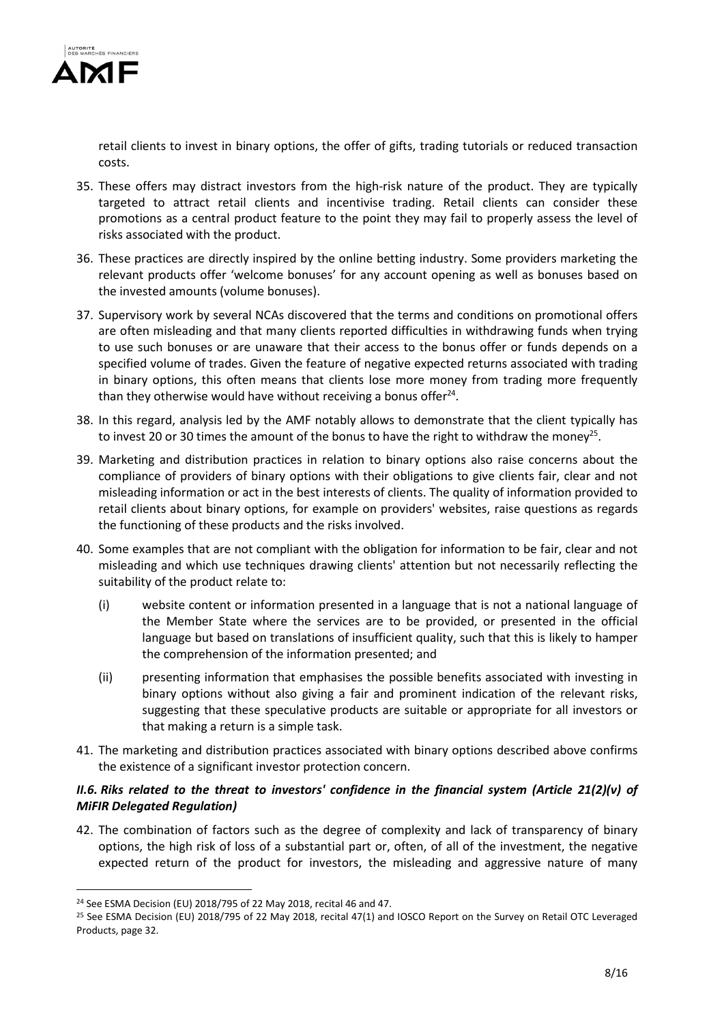

retail clients to invest in binary options, the offer of gifts, trading tutorials or reduced transaction costs.

- 35. These offers may distract investors from the high-risk nature of the product. They are typically targeted to attract retail clients and incentivise trading. Retail clients can consider these promotions as a central product feature to the point they may fail to properly assess the level of risks associated with the product.
- 36. These practices are directly inspired by the online betting industry. Some providers marketing the relevant products offer 'welcome bonuses' for any account opening as well as bonuses based on the invested amounts (volume bonuses).
- 37. Supervisory work by several NCAs discovered that the terms and conditions on promotional offers are often misleading and that many clients reported difficulties in withdrawing funds when trying to use such bonuses or are unaware that their access to the bonus offer or funds depends on a specified volume of trades. Given the feature of negative expected returns associated with trading in binary options, this often means that clients lose more money from trading more frequently than they otherwise would have without receiving a bonus offer $^{24}$ .
- 38. In this regard, analysis led by the AMF notably allows to demonstrate that the client typically has to invest 20 or 30 times the amount of the bonus to have the right to withdraw the money<sup>25</sup>.
- 39. Marketing and distribution practices in relation to binary options also raise concerns about the compliance of providers of binary options with their obligations to give clients fair, clear and not misleading information or act in the best interests of clients. The quality of information provided to retail clients about binary options, for example on providers' websites, raise questions as regards the functioning of these products and the risks involved.
- 40. Some examples that are not compliant with the obligation for information to be fair, clear and not misleading and which use techniques drawing clients' attention but not necessarily reflecting the suitability of the product relate to:
	- (i) website content or information presented in a language that is not a national language of the Member State where the services are to be provided, or presented in the official language but based on translations of insufficient quality, such that this is likely to hamper the comprehension of the information presented; and
	- (ii) presenting information that emphasises the possible benefits associated with investing in binary options without also giving a fair and prominent indication of the relevant risks, suggesting that these speculative products are suitable or appropriate for all investors or that making a return is a simple task.
- 41. The marketing and distribution practices associated with binary options described above confirms the existence of a significant investor protection concern.

# II.6. Riks related to the threat to investors' confidence in the financial system (Article 21(2)(v) of MiFIR Delegated Regulation)

42. The combination of factors such as the degree of complexity and lack of transparency of binary options, the high risk of loss of a substantial part or, often, of all of the investment, the negative expected return of the product for investors, the misleading and aggressive nature of many

<sup>24</sup> See ESMA Decision (EU) 2018/795 of 22 May 2018, recital 46 and 47.

<sup>&</sup>lt;sup>25</sup> See ESMA Decision (EU) 2018/795 of 22 May 2018, recital 47(1) and IOSCO Report on the Survey on Retail OTC Leveraged Products, page 32.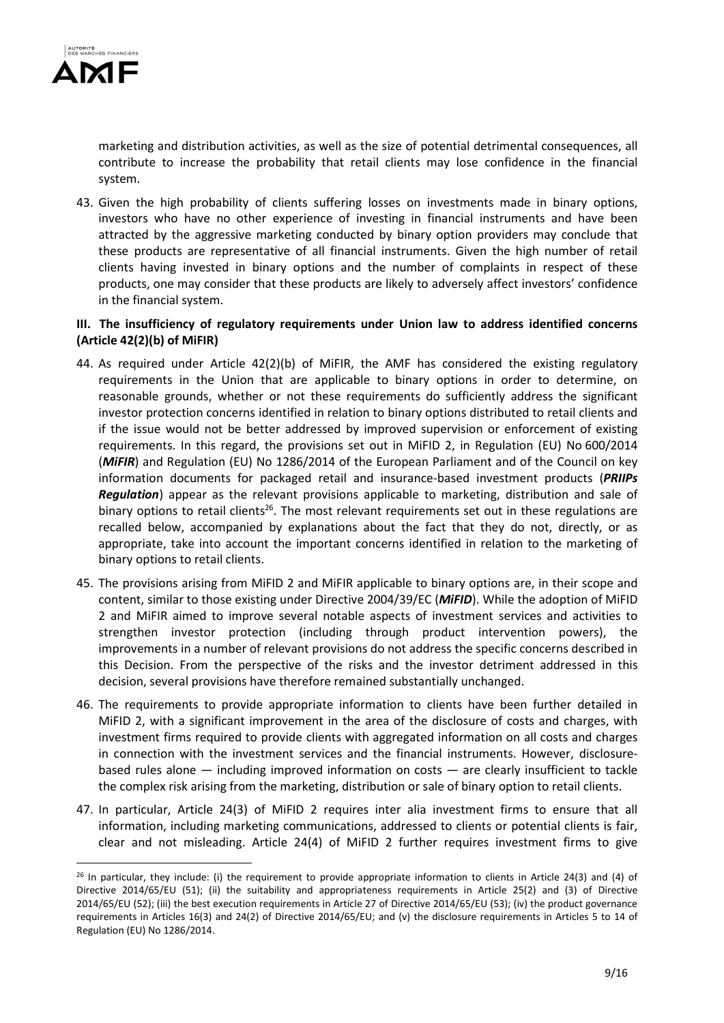

marketing and distribution activities, as well as the size of potential detrimental consequences, all contribute to increase the probability that retail clients may lose confidence in the financial system.

43. Given the high probability of clients suffering losses on investments made in binary options, investors who have no other experience of investing in financial instruments and have been attracted by the aggressive marketing conducted by binary option providers may conclude that these products are representative of all financial instruments. Given the high number of retail clients having invested in binary options and the number of complaints in respect of these products, one may consider that these products are likely to adversely affect investors' confidence in the financial system.

### III. The insufficiency of regulatory requirements under Union law to address identified concerns (Article 42(2)(b) of MiFIR)

- 44. As required under Article 42(2)(b) of MiFIR, the AMF has considered the existing regulatory requirements in the Union that are applicable to binary options in order to determine, on reasonable grounds, whether or not these requirements do sufficiently address the significant investor protection concerns identified in relation to binary options distributed to retail clients and if the issue would not be better addressed by improved supervision or enforcement of existing requirements. In this regard, the provisions set out in MiFID 2, in Regulation (EU) No 600/2014 (MiFIR) and Regulation (EU) No 1286/2014 of the European Parliament and of the Council on key information documents for packaged retail and insurance-based investment products (PRIIPs **Regulation**) appear as the relevant provisions applicable to marketing, distribution and sale of binary options to retail clients<sup>26</sup>. The most relevant requirements set out in these regulations are recalled below, accompanied by explanations about the fact that they do not, directly, or as appropriate, take into account the important concerns identified in relation to the marketing of binary options to retail clients.
- 45. The provisions arising from MiFID 2 and MiFIR applicable to binary options are, in their scope and content, similar to those existing under Directive 2004/39/EC (MiFID). While the adoption of MiFID 2 and MiFIR aimed to improve several notable aspects of investment services and activities to strengthen investor protection (including through product intervention powers), the improvements in a number of relevant provisions do not address the specific concerns described in this Decision. From the perspective of the risks and the investor detriment addressed in this decision, several provisions have therefore remained substantially unchanged.
- 46. The requirements to provide appropriate information to clients have been further detailed in MiFID 2, with a significant improvement in the area of the disclosure of costs and charges, with investment firms required to provide clients with aggregated information on all costs and charges in connection with the investment services and the financial instruments. However, disclosurebased rules alone — including improved information on costs — are clearly insufficient to tackle the complex risk arising from the marketing, distribution or sale of binary option to retail clients.
- 47. In particular, Article 24(3) of MiFID 2 requires inter alia investment firms to ensure that all information, including marketing communications, addressed to clients or potential clients is fair, clear and not misleading. Article 24(4) of MiFID 2 further requires investment firms to give

<sup>26</sup> In particular, they include: (i) the requirement to provide appropriate information to clients in Article 24(3) and (4) of Directive 2014/65/EU (51); (ii) the suitability and appropriateness requirements in Article 25(2) and (3) of Directive 2014/65/EU (52); (iii) the best execution requirements in Article 27 of Directive 2014/65/EU (53); (iv) the product governance requirements in Articles 16(3) and 24(2) of Directive 2014/65/EU; and (v) the disclosure requirements in Articles 5 to 14 of Regulation (EU) No 1286/2014.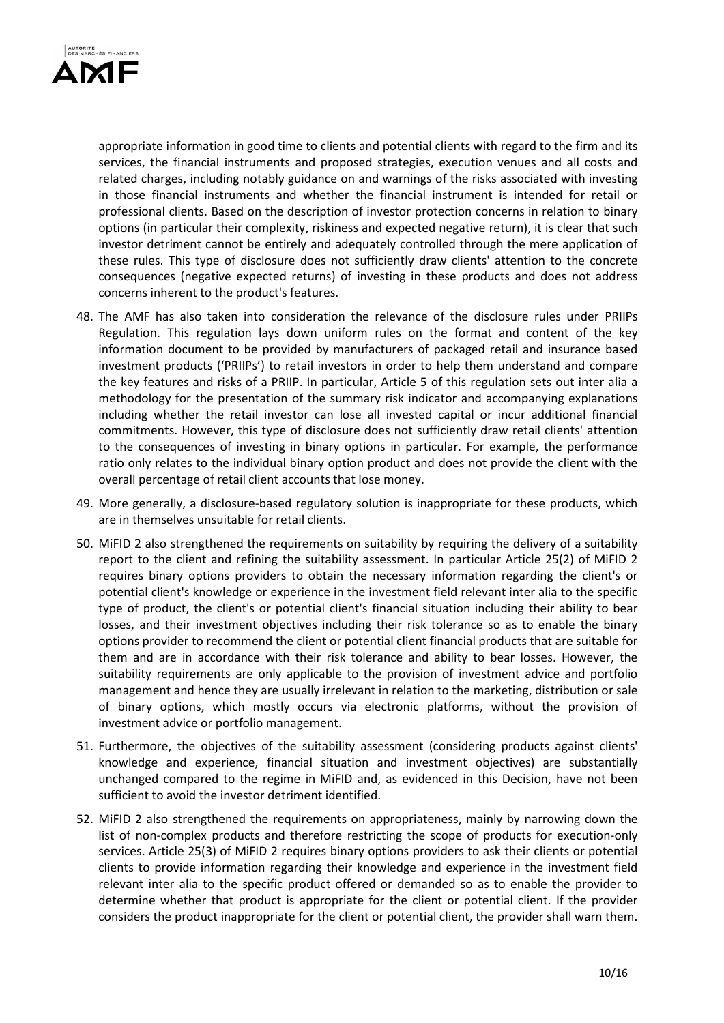

appropriate information in good time to clients and potential clients with regard to the firm and its services, the financial instruments and proposed strategies, execution venues and all costs and related charges, including notably guidance on and warnings of the risks associated with investing in those financial instruments and whether the financial instrument is intended for retail or professional clients. Based on the description of investor protection concerns in relation to binary options (in particular their complexity, riskiness and expected negative return), it is clear that such investor detriment cannot be entirely and adequately controlled through the mere application of these rules. This type of disclosure does not sufficiently draw clients' attention to the concrete consequences (negative expected returns) of investing in these products and does not address concerns inherent to the product's features.

- 48. The AMF has also taken into consideration the relevance of the disclosure rules under PRIIPs Regulation. This regulation lays down uniform rules on the format and content of the key information document to be provided by manufacturers of packaged retail and insurance based investment products ('PRIIPs') to retail investors in order to help them understand and compare the key features and risks of a PRIIP. In particular, Article 5 of this regulation sets out inter alia a methodology for the presentation of the summary risk indicator and accompanying explanations including whether the retail investor can lose all invested capital or incur additional financial commitments. However, this type of disclosure does not sufficiently draw retail clients' attention to the consequences of investing in binary options in particular. For example, the performance ratio only relates to the individual binary option product and does not provide the client with the overall percentage of retail client accounts that lose money.
- 49. More generally, a disclosure-based regulatory solution is inappropriate for these products, which are in themselves unsuitable for retail clients.
- 50. MiFID 2 also strengthened the requirements on suitability by requiring the delivery of a suitability report to the client and refining the suitability assessment. In particular Article 25(2) of MiFID 2 requires binary options providers to obtain the necessary information regarding the client's or potential client's knowledge or experience in the investment field relevant inter alia to the specific type of product, the client's or potential client's financial situation including their ability to bear losses, and their investment objectives including their risk tolerance so as to enable the binary options provider to recommend the client or potential client financial products that are suitable for them and are in accordance with their risk tolerance and ability to bear losses. However, the suitability requirements are only applicable to the provision of investment advice and portfolio management and hence they are usually irrelevant in relation to the marketing, distribution or sale of binary options, which mostly occurs via electronic platforms, without the provision of investment advice or portfolio management.
- 51. Furthermore, the objectives of the suitability assessment (considering products against clients' knowledge and experience, financial situation and investment objectives) are substantially unchanged compared to the regime in MiFID and, as evidenced in this Decision, have not been sufficient to avoid the investor detriment identified.
- 52. MiFID 2 also strengthened the requirements on appropriateness, mainly by narrowing down the list of non-complex products and therefore restricting the scope of products for execution-only services. Article 25(3) of MiFID 2 requires binary options providers to ask their clients or potential clients to provide information regarding their knowledge and experience in the investment field relevant inter alia to the specific product offered or demanded so as to enable the provider to determine whether that product is appropriate for the client or potential client. If the provider considers the product inappropriate for the client or potential client, the provider shall warn them.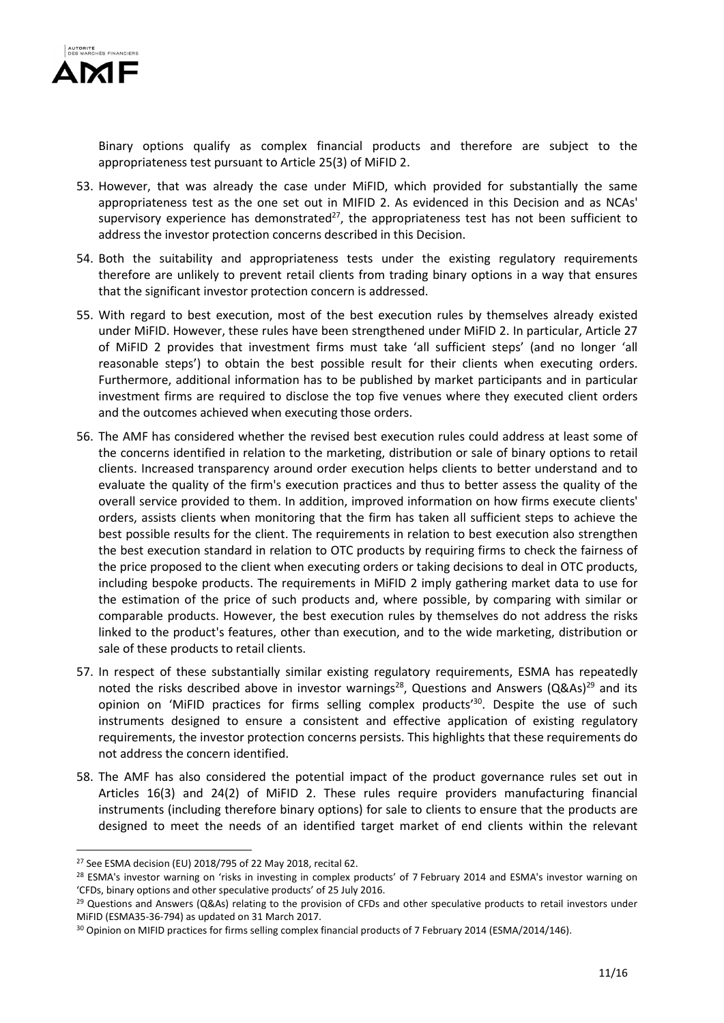

Binary options qualify as complex financial products and therefore are subject to the appropriateness test pursuant to Article 25(3) of MiFID 2.

- 53. However, that was already the case under MiFID, which provided for substantially the same appropriateness test as the one set out in MIFID 2. As evidenced in this Decision and as NCAs' supervisory experience has demonstrated $^{27}$ , the appropriateness test has not been sufficient to address the investor protection concerns described in this Decision.
- 54. Both the suitability and appropriateness tests under the existing regulatory requirements therefore are unlikely to prevent retail clients from trading binary options in a way that ensures that the significant investor protection concern is addressed.
- 55. With regard to best execution, most of the best execution rules by themselves already existed under MiFID. However, these rules have been strengthened under MiFID 2. In particular, Article 27 of MiFID 2 provides that investment firms must take 'all sufficient steps' (and no longer 'all reasonable steps') to obtain the best possible result for their clients when executing orders. Furthermore, additional information has to be published by market participants and in particular investment firms are required to disclose the top five venues where they executed client orders and the outcomes achieved when executing those orders.
- 56. The AMF has considered whether the revised best execution rules could address at least some of the concerns identified in relation to the marketing, distribution or sale of binary options to retail clients. Increased transparency around order execution helps clients to better understand and to evaluate the quality of the firm's execution practices and thus to better assess the quality of the overall service provided to them. In addition, improved information on how firms execute clients' orders, assists clients when monitoring that the firm has taken all sufficient steps to achieve the best possible results for the client. The requirements in relation to best execution also strengthen the best execution standard in relation to OTC products by requiring firms to check the fairness of the price proposed to the client when executing orders or taking decisions to deal in OTC products, including bespoke products. The requirements in MiFID 2 imply gathering market data to use for the estimation of the price of such products and, where possible, by comparing with similar or comparable products. However, the best execution rules by themselves do not address the risks linked to the product's features, other than execution, and to the wide marketing, distribution or sale of these products to retail clients.
- 57. In respect of these substantially similar existing regulatory requirements, ESMA has repeatedly noted the risks described above in investor warnings<sup>28</sup>, Questions and Answers (Q&As)<sup>29</sup> and its opinion on 'MiFID practices for firms selling complex products<sup>'30</sup>. Despite the use of such instruments designed to ensure a consistent and effective application of existing regulatory requirements, the investor protection concerns persists. This highlights that these requirements do not address the concern identified.
- 58. The AMF has also considered the potential impact of the product governance rules set out in Articles 16(3) and 24(2) of MiFID 2. These rules require providers manufacturing financial instruments (including therefore binary options) for sale to clients to ensure that the products are designed to meet the needs of an identified target market of end clients within the relevant

<sup>27</sup> See ESMA decision (EU) 2018/795 of 22 May 2018, recital 62.

<sup>&</sup>lt;sup>28</sup> ESMA's investor warning on 'risks in investing in complex products' of 7 February 2014 and ESMA's investor warning on 'CFDs, binary options and other speculative products' of 25 July 2016.

 $29$  Questions and Answers (Q&As) relating to the provision of CFDs and other speculative products to retail investors under MiFID (ESMA35-36-794) as updated on 31 March 2017.

<sup>30</sup> Opinion on MIFID practices for firms selling complex financial products of 7 February 2014 (ESMA/2014/146).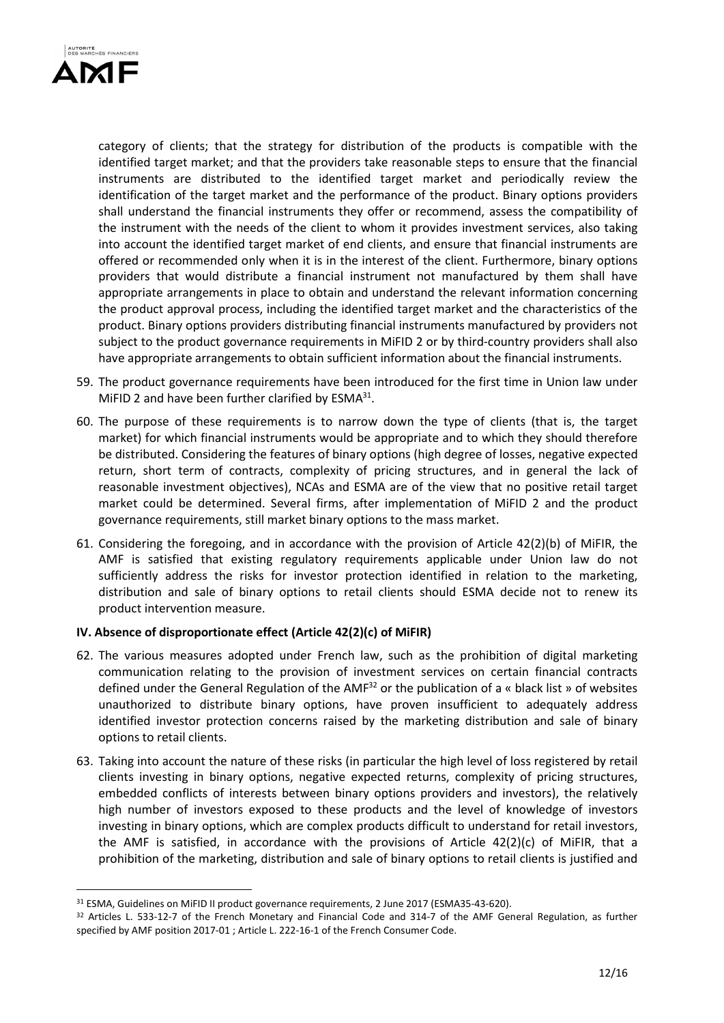

category of clients; that the strategy for distribution of the products is compatible with the identified target market; and that the providers take reasonable steps to ensure that the financial instruments are distributed to the identified target market and periodically review the identification of the target market and the performance of the product. Binary options providers shall understand the financial instruments they offer or recommend, assess the compatibility of the instrument with the needs of the client to whom it provides investment services, also taking into account the identified target market of end clients, and ensure that financial instruments are offered or recommended only when it is in the interest of the client. Furthermore, binary options providers that would distribute a financial instrument not manufactured by them shall have appropriate arrangements in place to obtain and understand the relevant information concerning the product approval process, including the identified target market and the characteristics of the product. Binary options providers distributing financial instruments manufactured by providers not subject to the product governance requirements in MiFID 2 or by third-country providers shall also have appropriate arrangements to obtain sufficient information about the financial instruments.

- 59. The product governance requirements have been introduced for the first time in Union law under MiFID 2 and have been further clarified by  $ESMA<sup>31</sup>$ .
- 60. The purpose of these requirements is to narrow down the type of clients (that is, the target market) for which financial instruments would be appropriate and to which they should therefore be distributed. Considering the features of binary options (high degree of losses, negative expected return, short term of contracts, complexity of pricing structures, and in general the lack of reasonable investment objectives), NCAs and ESMA are of the view that no positive retail target market could be determined. Several firms, after implementation of MiFID 2 and the product governance requirements, still market binary options to the mass market.
- 61. Considering the foregoing, and in accordance with the provision of Article 42(2)(b) of MiFIR, the AMF is satisfied that existing regulatory requirements applicable under Union law do not sufficiently address the risks for investor protection identified in relation to the marketing, distribution and sale of binary options to retail clients should ESMA decide not to renew its product intervention measure.

#### IV. Absence of disproportionate effect (Article 42(2)(c) of MiFIR)

- 62. The various measures adopted under French law, such as the prohibition of digital marketing communication relating to the provision of investment services on certain financial contracts defined under the General Regulation of the AMF<sup>32</sup> or the publication of a « black list » of websites unauthorized to distribute binary options, have proven insufficient to adequately address identified investor protection concerns raised by the marketing distribution and sale of binary options to retail clients.
- 63. Taking into account the nature of these risks (in particular the high level of loss registered by retail clients investing in binary options, negative expected returns, complexity of pricing structures, embedded conflicts of interests between binary options providers and investors), the relatively high number of investors exposed to these products and the level of knowledge of investors investing in binary options, which are complex products difficult to understand for retail investors, the AMF is satisfied, in accordance with the provisions of Article 42(2)(c) of MiFIR, that a prohibition of the marketing, distribution and sale of binary options to retail clients is justified and

<sup>31</sup> ESMA, Guidelines on MiFID II product governance requirements, 2 June 2017 (ESMA35-43-620).

<sup>32</sup> Articles L. 533-12-7 of the French Monetary and Financial Code and 314-7 of the AMF General Regulation, as further specified by AMF position 2017-01 ; Article L. 222-16-1 of the French Consumer Code.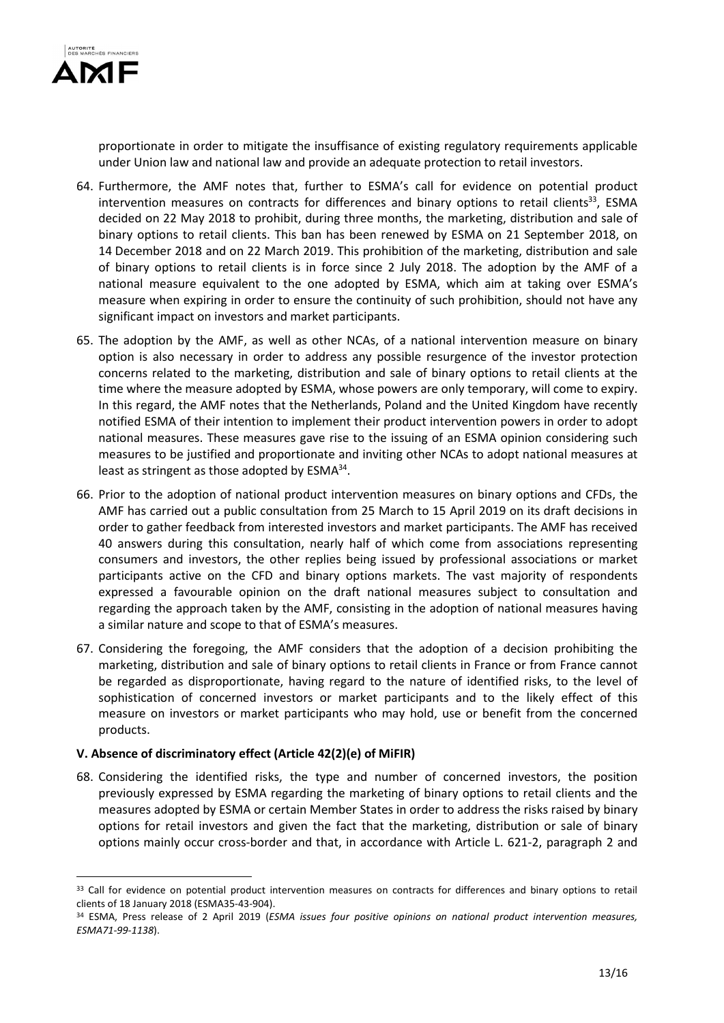

proportionate in order to mitigate the insuffisance of existing regulatory requirements applicable under Union law and national law and provide an adequate protection to retail investors.

- 64. Furthermore, the AMF notes that, further to ESMA's call for evidence on potential product intervention measures on contracts for differences and binary options to retail clients<sup>33</sup>, ESMA decided on 22 May 2018 to prohibit, during three months, the marketing, distribution and sale of binary options to retail clients. This ban has been renewed by ESMA on 21 September 2018, on 14 December 2018 and on 22 March 2019. This prohibition of the marketing, distribution and sale of binary options to retail clients is in force since 2 July 2018. The adoption by the AMF of a national measure equivalent to the one adopted by ESMA, which aim at taking over ESMA's measure when expiring in order to ensure the continuity of such prohibition, should not have any significant impact on investors and market participants.
- 65. The adoption by the AMF, as well as other NCAs, of a national intervention measure on binary option is also necessary in order to address any possible resurgence of the investor protection concerns related to the marketing, distribution and sale of binary options to retail clients at the time where the measure adopted by ESMA, whose powers are only temporary, will come to expiry. In this regard, the AMF notes that the Netherlands, Poland and the United Kingdom have recently notified ESMA of their intention to implement their product intervention powers in order to adopt national measures. These measures gave rise to the issuing of an ESMA opinion considering such measures to be justified and proportionate and inviting other NCAs to adopt national measures at least as stringent as those adopted by ESMA<sup>34</sup>.
- 66. Prior to the adoption of national product intervention measures on binary options and CFDs, the AMF has carried out a public consultation from 25 March to 15 April 2019 on its draft decisions in order to gather feedback from interested investors and market participants. The AMF has received 40 answers during this consultation, nearly half of which come from associations representing consumers and investors, the other replies being issued by professional associations or market participants active on the CFD and binary options markets. The vast majority of respondents expressed a favourable opinion on the draft national measures subject to consultation and regarding the approach taken by the AMF, consisting in the adoption of national measures having a similar nature and scope to that of ESMA's measures.
- 67. Considering the foregoing, the AMF considers that the adoption of a decision prohibiting the marketing, distribution and sale of binary options to retail clients in France or from France cannot be regarded as disproportionate, having regard to the nature of identified risks, to the level of sophistication of concerned investors or market participants and to the likely effect of this measure on investors or market participants who may hold, use or benefit from the concerned products.

#### V. Absence of discriminatory effect (Article 42(2)(e) of MiFIR)

68. Considering the identified risks, the type and number of concerned investors, the position previously expressed by ESMA regarding the marketing of binary options to retail clients and the measures adopted by ESMA or certain Member States in order to address the risks raised by binary options for retail investors and given the fact that the marketing, distribution or sale of binary options mainly occur cross-border and that, in accordance with Article L. 621-2, paragraph 2 and

<sup>&</sup>lt;sup>33</sup> Call for evidence on potential product intervention measures on contracts for differences and binary options to retail clients of 18 January 2018 (ESMA35-43-904).

<sup>34</sup> ESMA, Press release of 2 April 2019 (ESMA issues four positive opinions on national product intervention measures, ESMA71-99-1138).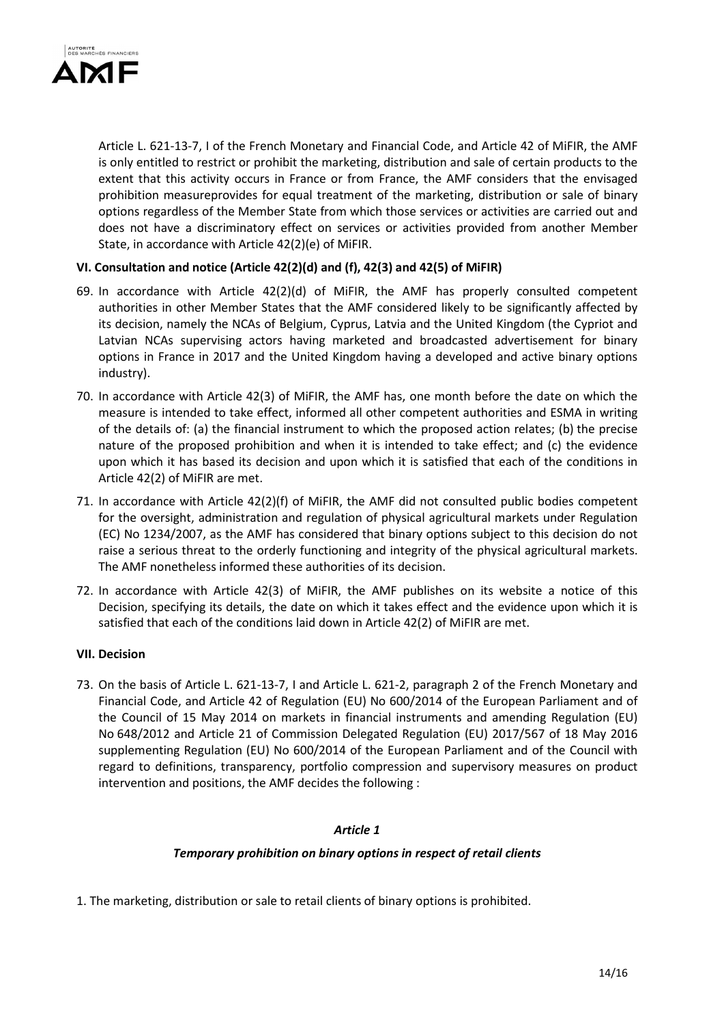

Article L. 621-13-7, I of the French Monetary and Financial Code, and Article 42 of MiFIR, the AMF is only entitled to restrict or prohibit the marketing, distribution and sale of certain products to the extent that this activity occurs in France or from France, the AMF considers that the envisaged prohibition measureprovides for equal treatment of the marketing, distribution or sale of binary options regardless of the Member State from which those services or activities are carried out and does not have a discriminatory effect on services or activities provided from another Member State, in accordance with Article 42(2)(e) of MiFIR.

### VI. Consultation and notice (Article 42(2)(d) and (f), 42(3) and 42(5) of MiFIR)

- 69. In accordance with Article 42(2)(d) of MiFIR, the AMF has properly consulted competent authorities in other Member States that the AMF considered likely to be significantly affected by its decision, namely the NCAs of Belgium, Cyprus, Latvia and the United Kingdom (the Cypriot and Latvian NCAs supervising actors having marketed and broadcasted advertisement for binary options in France in 2017 and the United Kingdom having a developed and active binary options industry).
- 70. In accordance with Article 42(3) of MiFIR, the AMF has, one month before the date on which the measure is intended to take effect, informed all other competent authorities and ESMA in writing of the details of: (a) the financial instrument to which the proposed action relates; (b) the precise nature of the proposed prohibition and when it is intended to take effect; and (c) the evidence upon which it has based its decision and upon which it is satisfied that each of the conditions in Article 42(2) of MiFIR are met.
- 71. In accordance with Article 42(2)(f) of MiFIR, the AMF did not consulted public bodies competent for the oversight, administration and regulation of physical agricultural markets under Regulation (EC) No 1234/2007, as the AMF has considered that binary options subject to this decision do not raise a serious threat to the orderly functioning and integrity of the physical agricultural markets. The AMF nonetheless informed these authorities of its decision.
- 72. In accordance with Article 42(3) of MiFIR, the AMF publishes on its website a notice of this Decision, specifying its details, the date on which it takes effect and the evidence upon which it is satisfied that each of the conditions laid down in Article 42(2) of MiFIR are met.

#### VII. Decision

73. On the basis of Article L. 621-13-7, I and Article L. 621-2, paragraph 2 of the French Monetary and Financial Code, and Article 42 of Regulation (EU) No 600/2014 of the European Parliament and of the Council of 15 May 2014 on markets in financial instruments and amending Regulation (EU) No 648/2012 and Article 21 of Commission Delegated Regulation (EU) 2017/567 of 18 May 2016 supplementing Regulation (EU) No 600/2014 of the European Parliament and of the Council with regard to definitions, transparency, portfolio compression and supervisory measures on product intervention and positions, the AMF decides the following :

#### Article 1

#### Temporary prohibition on binary options in respect of retail clients

1. The marketing, distribution or sale to retail clients of binary options is prohibited.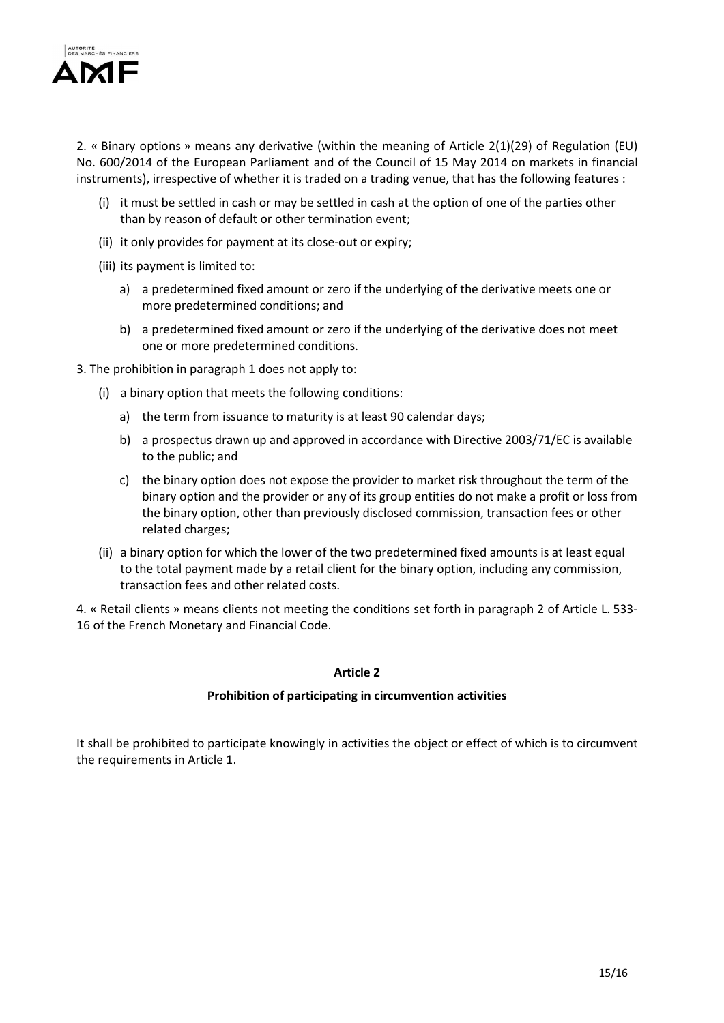

2. « Binary options » means any derivative (within the meaning of Article 2(1)(29) of Regulation (EU) No. 600/2014 of the European Parliament and of the Council of 15 May 2014 on markets in financial instruments), irrespective of whether it is traded on a trading venue, that has the following features :

- (i) it must be settled in cash or may be settled in cash at the option of one of the parties other than by reason of default or other termination event;
- (ii) it only provides for payment at its close-out or expiry;
- (iii) its payment is limited to:
	- a) a predetermined fixed amount or zero if the underlying of the derivative meets one or more predetermined conditions; and
	- b) a predetermined fixed amount or zero if the underlying of the derivative does not meet one or more predetermined conditions.
- 3. The prohibition in paragraph 1 does not apply to:
	- (i) a binary option that meets the following conditions:
		- a) the term from issuance to maturity is at least 90 calendar days;
		- b) a prospectus drawn up and approved in accordance with Directive 2003/71/EC is available to the public; and
		- c) the binary option does not expose the provider to market risk throughout the term of the binary option and the provider or any of its group entities do not make a profit or loss from the binary option, other than previously disclosed commission, transaction fees or other related charges;
	- (ii) a binary option for which the lower of the two predetermined fixed amounts is at least equal to the total payment made by a retail client for the binary option, including any commission, transaction fees and other related costs.

4. « Retail clients » means clients not meeting the conditions set forth in paragraph 2 of Article L. 533- 16 of the French Monetary and Financial Code.

#### Article 2

#### Prohibition of participating in circumvention activities

It shall be prohibited to participate knowingly in activities the object or effect of which is to circumvent the requirements in Article 1.